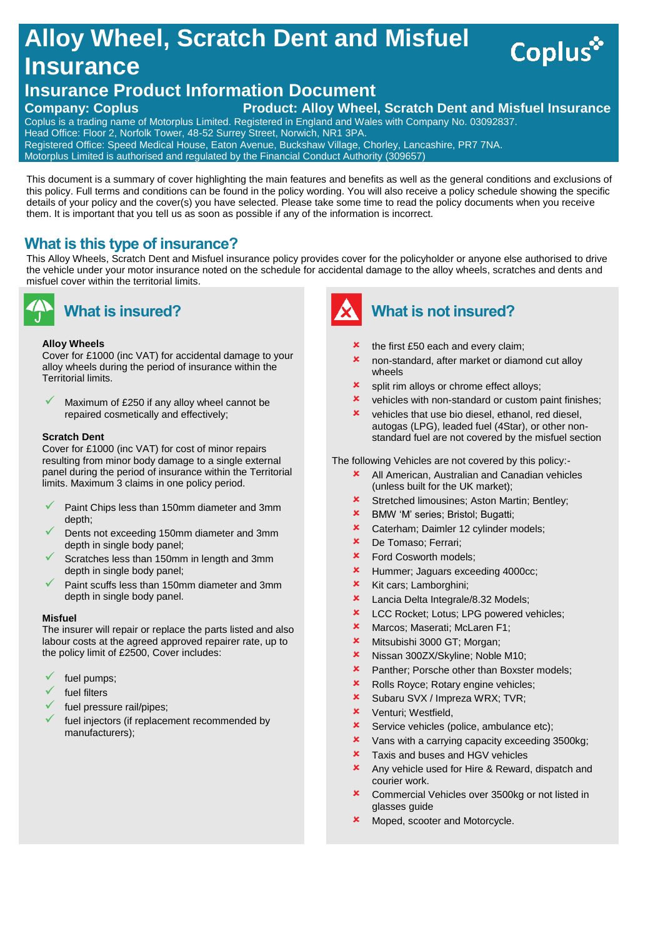# **Alloy Wheel, Scratch Dent and Misfuel Insurance**

## **Insurance Product Information Document**

### **Company: Coplus Product: Alloy Wheel, Scratch Dent and Misfuel Insurance**

Coplus is a trading name of Motorplus Limited. Registered in England and Wales with Company No. 03092837. Head Office: Floor 2, Norfolk Tower, 48-52 Surrey Street, Norwich, NR1 3PA. Registered Office: Speed Medical House, Eaton Avenue, Buckshaw Village, Chorley, Lancashire, PR7 7NA.

Motorplus Limited is authorised and regulated by the Financial Conduct Authority (309657)

This document is a summary of cover highlighting the main features and benefits as well as the general conditions and exclusions of this policy. Full terms and conditions can be found in the policy wording. You will also receive a policy schedule showing the specific details of your policy and the cover(s) you have selected. Please take some time to read the policy documents when you receive them. It is important that you tell us as soon as possible if any of the information is incorrect.

### **What is this type of insurance?**

This Alloy Wheels, Scratch Dent and Misfuel insurance policy provides cover for the policyholder or anyone else authorised to drive the vehicle under your motor insurance noted on the schedule for accidental damage to the alloy wheels, scratches and dents and misfuel cover within the territorial limits.



### **What is insured?**

### **Alloy Wheels**

Cover for £1000 (inc VAT) for accidental damage to your alloy wheels during the period of insurance within the Territorial limits.

 Maximum of £250 if any alloy wheel cannot be repaired cosmetically and effectively;

### **Scratch Dent**

Cover for £1000 (inc VAT) for cost of minor repairs resulting from minor body damage to a single external panel during the period of insurance within the Territorial limits. Maximum 3 claims in one policy period.

- Paint Chips less than 150mm diameter and 3mm depth;
- Dents not exceeding 150mm diameter and 3mm depth in single body panel;
- Scratches less than 150mm in length and 3mm depth in single body panel;
- Paint scuffs less than 150mm diameter and 3mm depth in single body panel.

#### **Misfuel**

The insurer will repair or replace the parts listed and also labour costs at the agreed approved repairer rate, up to the policy limit of £2500, Cover includes:

- fuel pumps;
- fuel filters
- fuel pressure rail/pipes;
- fuel injectors (if replacement recommended by manufacturers);



### **What is not insured?**

- $\star$  the first £50 each and every claim;
- non-standard, after market or diamond cut alloy wheels
- **x** split rim alloys or chrome effect alloys;
- $x$  vehicles with non-standard or custom paint finishes;

Coplus\*

 vehicles that use bio diesel, ethanol, red diesel, autogas (LPG), leaded fuel (4Star), or other nonstandard fuel are not covered by the misfuel section

The following Vehicles are not covered by this policy:-

- **x** All American, Australian and Canadian vehicles (unless built for the UK market);
- **\*** Stretched limousines; Aston Martin; Bentley;
- BMW 'M' series; Bristol; Bugatti;
- **\*** Caterham: Daimler 12 cylinder models:
- De Tomaso; Ferrari;
- **\*** Ford Cosworth models:
- **\*** Hummer; Jaguars exceeding 4000cc;
- $x$  Kit cars; Lamborghini;
- **\*** Lancia Delta Integrale/8.32 Models;
- **\*** LCC Rocket; Lotus; LPG powered vehicles;
- \* Marcos; Maserati; McLaren F1;
- **\*** Mitsubishi 3000 GT; Morgan;
- \* Nissan 300ZX/Skyline; Noble M10;
- **\*** Panther; Porsche other than Boxster models;
- **\*** Rolls Royce; Rotary engine vehicles;
- **x** Subaru SVX / Impreza WRX; TVR;
- Venturi; Westfield,
- **x** Service vehicles (police, ambulance etc);
- Vans with a carrying capacity exceeding 3500kg;
- **\*** Taxis and buses and HGV vehicles
- Any vehicle used for Hire & Reward, dispatch and courier work.
- Commercial Vehicles over 3500kg or not listed in glasses guide
- Moped, scooter and Motorcycle.